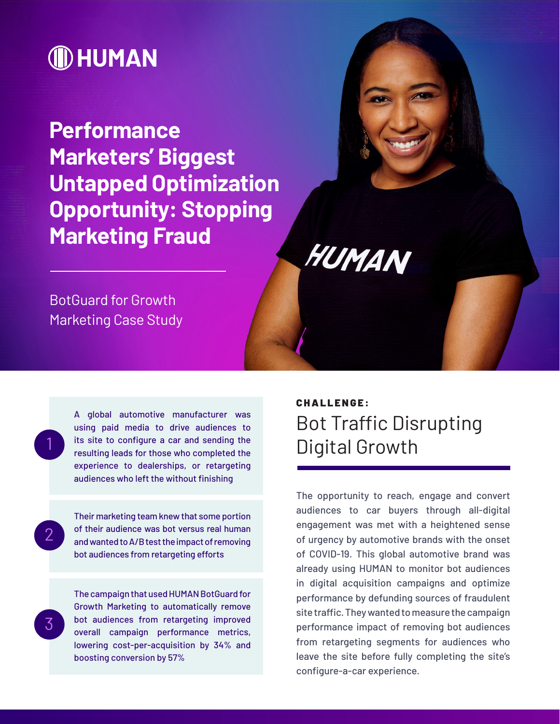# **ID HUMAN**

**Performance Marketers' Biggest Untapped Optimization Opportunity: Stopping Marketing Fraud**

#### BotGuard for Growth Marketing Case Study

1

 $\mathcal{P}$ 

3

A global automotive manufacturer was using paid media to drive audiences to its site to configure a car and sending the resulting leads for those who completed the experience to dealerships, or retargeting audiences who left the without finishing

Their marketing team knew that some portion of their audience was bot versus real human and wanted to A/B test the impact of removing bot audiences from retargeting efforts

The campaign that used HUMAN BotGuard for Growth Marketing to automatically remove bot audiences from retargeting improved overall campaign performance metrics, lowering cost-per-acquisition by 34% and boosting conversion by 57%

#### CHALLENGE: Bot Traffic Disrupting Digital Growth

HUMAN

The opportunity to reach, engage and convert audiences to car buyers through all-digital engagement was met with a heightened sense of urgency by automotive brands with the onset of COVID-19. This global automotive brand was already using HUMAN to monitor bot audiences in digital acquisition campaigns and optimize performance by defunding sources of fraudulent site traffic. They wanted to measure the campaign performance impact of removing bot audiences from retargeting segments for audiences who leave the site before fully completing the site's configure-a-car experience.